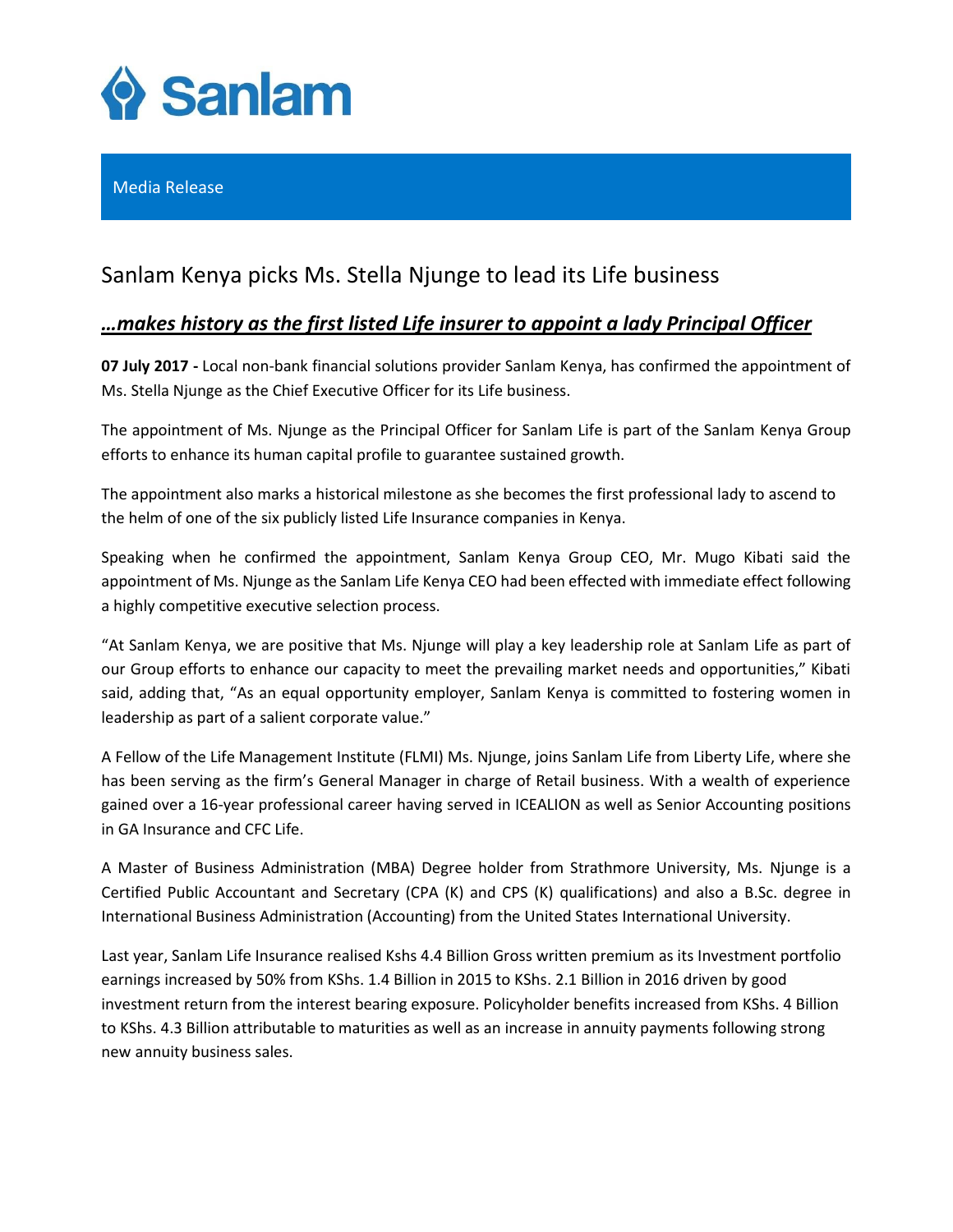

## Media Release

# Sanlam Kenya picks Ms. Stella Njunge to lead its Life business

# *…makes history as the first listed Life insurer to appoint a lady Principal Officer*

**07 July 2017 -** Local non-bank financial solutions provider Sanlam Kenya, has confirmed the appointment of Ms. Stella Njunge as the Chief Executive Officer for its Life business.

The appointment of Ms. Njunge as the Principal Officer for Sanlam Life is part of the Sanlam Kenya Group efforts to enhance its human capital profile to guarantee sustained growth.

The appointment also marks a historical milestone as she becomes the first professional lady to ascend to the helm of one of the six publicly listed Life Insurance companies in Kenya.

Speaking when he confirmed the appointment, Sanlam Kenya Group CEO, Mr. Mugo Kibati said the appointment of Ms. Njunge as the Sanlam Life Kenya CEO had been effected with immediate effect following a highly competitive executive selection process.

"At Sanlam Kenya, we are positive that Ms. Njunge will play a key leadership role at Sanlam Life as part of our Group efforts to enhance our capacity to meet the prevailing market needs and opportunities," Kibati said, adding that, "As an equal opportunity employer, Sanlam Kenya is committed to fostering women in leadership as part of a salient corporate value."

A Fellow of the Life Management Institute (FLMI) Ms. Njunge, joins Sanlam Life from Liberty Life, where she has been serving as the firm's General Manager in charge of Retail business. With a wealth of experience gained over a 16-year professional career having served in ICEALION as well as Senior Accounting positions in GA Insurance and CFC Life.

A Master of Business Administration (MBA) Degree holder from Strathmore University, Ms. Njunge is a Certified Public Accountant and Secretary (CPA (K) and CPS (K) qualifications) and also a B.Sc. degree in International Business Administration (Accounting) from the United States International University.

Last year, Sanlam Life Insurance realised Kshs 4.4 Billion Gross written premium as its Investment portfolio earnings increased by 50% from KShs. 1.4 Billion in 2015 to KShs. 2.1 Billion in 2016 driven by good investment return from the interest bearing exposure. Policyholder benefits increased from KShs. 4 Billion to KShs. 4.3 Billion attributable to maturities as well as an increase in annuity payments following strong new annuity business sales.